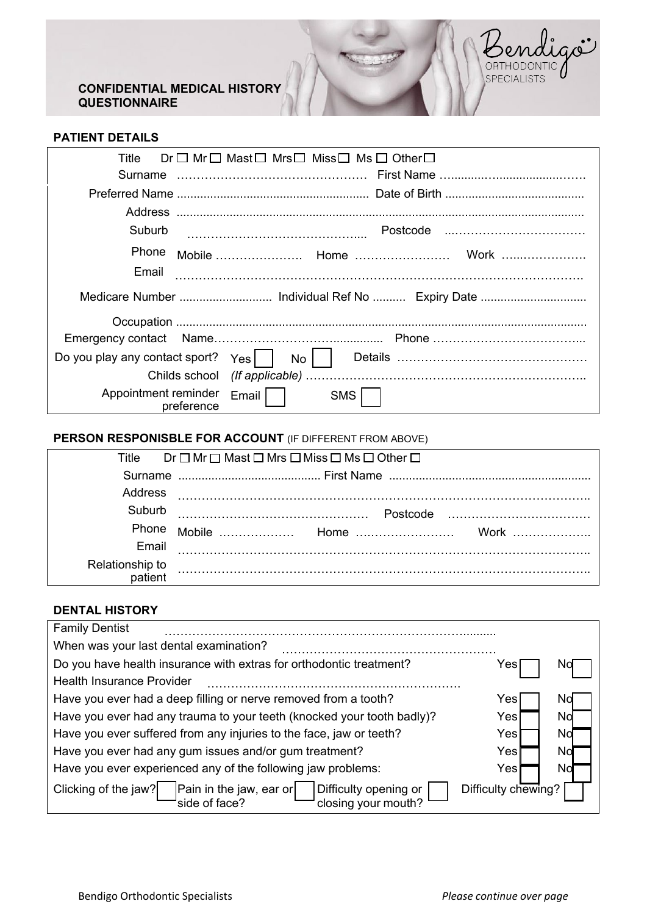## **CONFIDENTIAL MEDICAL HISTORY QUESTIONNAIRE**



| Title<br>Surname                   | Dr□ Mr□ Mast□ Mrs□ Miss□ Ms□ Other□ |
|------------------------------------|-------------------------------------|
|                                    |                                     |
|                                    |                                     |
| Address                            |                                     |
| Suburb                             |                                     |
| <b>Phone</b>                       |                                     |
| Email                              |                                     |
|                                    |                                     |
|                                    |                                     |
|                                    |                                     |
| Do you play any contact sport? Yes | $No$ $\vert$                        |
|                                    |                                     |
| Appointment reminder<br>preference | Email I<br><b>SMS</b>               |

# **PERSON RESPONISBLE FOR ACCOUNT** (IF DIFFERENT FROM ABOVE)

| Title           | $Dr \Box Mr \Box$ Mast $\Box$ Mrs $\Box$ Miss $\Box$ Ms $\Box$ Other $\Box$ |  |
|-----------------|-----------------------------------------------------------------------------|--|
|                 |                                                                             |  |
| Address         |                                                                             |  |
| Suburb          |                                                                             |  |
| Phone           |                                                                             |  |
| Email           |                                                                             |  |
| Relationship to |                                                                             |  |

### **DENTAL HISTORY**

| <b>Family Dentist</b>                                                                                            |                     |    |
|------------------------------------------------------------------------------------------------------------------|---------------------|----|
| When was your last dental examination?                                                                           |                     |    |
| Do you have health insurance with extras for orthodontic treatment?                                              | Yes                 |    |
| <b>Health Insurance Provider</b>                                                                                 |                     |    |
| Have you ever had a deep filling or nerve removed from a tooth?                                                  | Yes                 | No |
| Have you ever had any trauma to your teeth (knocked your tooth badly)?                                           | Yes                 | No |
| Have you ever suffered from any injuries to the face, jaw or teeth?                                              | Yes                 | No |
| Have you ever had any gum issues and/or gum treatment?                                                           | Yes                 | No |
| Have you ever experienced any of the following jaw problems:                                                     | Yes                 | No |
| Pain in the jaw, ear or<br>Clicking of the jaw?<br>Difficulty opening or<br>side of face?<br>closing your mouth? | Difficulty chewing? |    |

Bendigoi

SPECIALISTS